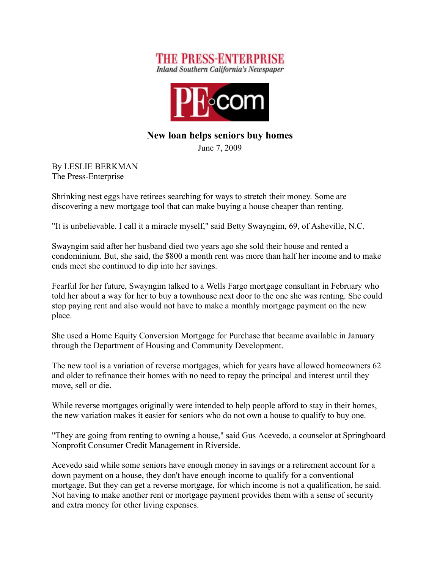



## New loan helps seniors buy homes

June 7, 2009

By LESLIE BERKMAN The Press-Enterprise

Shrinking nest eggs have retirees searching for ways to stretch their money. Some are discovering a new mortgage tool that can make buying a house cheaper than renting.

"It is unbelievable. I call it a miracle myself," said Betty Swayngim, 69, of Asheville, N.C.

Swayngim said after her husband died two years ago she sold their house and rented a condominium. But, she said, the \$800 a month rent was more than half her income and to make ends meet she continued to dip into her savings.

Fearful for her future, Swayngim talked to a Wells Fargo mortgage consultant in February who told her about a way for her to buy a townhouse next door to the one she was renting. She could stop paying rent and also would not have to make a monthly mortgage payment on the new place.

She used a Home Equity Conversion Mortgage for Purchase that became available in January through the Department of Housing and Community Development.

The new tool is a variation of reverse mortgages, which for years have allowed homeowners 62 and older to refinance their homes with no need to repay the principal and interest until they move, sell or die.

While reverse mortgages originally were intended to help people afford to stay in their homes, the new variation makes it easier for seniors who do not own a house to qualify to buy one.

"They are going from renting to owning a house," said Gus Acevedo, a counselor at Springboard Nonprofit Consumer Credit Management in Riverside.

Acevedo said while some seniors have enough money in savings or a retirement account for a down payment on a house, they don't have enough income to qualify for a conventional mortgage. But they can get a reverse mortgage, for which income is not a qualification, he said. Not having to make another rent or mortgage payment provides them with a sense of security and extra money for other living expenses.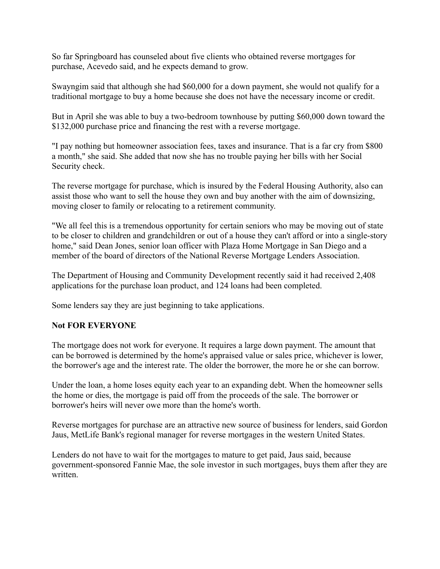So far Springboard has counseled about five clients who obtained reverse mortgages for purchase, Acevedo said, and he expects demand to grow.

Swayngim said that although she had \$60,000 for a down payment, she would not qualify for a traditional mortgage to buy a home because she does not have the necessary income or credit.

But in April she was able to buy a two-bedroom townhouse by putting \$60,000 down toward the \$132,000 purchase price and financing the rest with a reverse mortgage.

"I pay nothing but homeowner association fees, taxes and insurance. That is a far cry from \$800 a month," she said. She added that now she has no trouble paying her bills with her Social Security check.

The reverse mortgage for purchase, which is insured by the Federal Housing Authority, also can assist those who want to sell the house they own and buy another with the aim of downsizing, moving closer to family or relocating to a retirement community.

"We all feel this is a tremendous opportunity for certain seniors who may be moving out of state to be closer to children and grandchildren or out of a house they can't afford or into a single-story home," said Dean Jones, senior loan officer with Plaza Home Mortgage in San Diego and a member of the board of directors of the National Reverse Mortgage Lenders Association.

The Department of Housing and Community Development recently said it had received 2,408 applications for the purchase loan product, and 124 loans had been completed.

Some lenders say they are just beginning to take applications.

## Not FOR EVERYONE

The mortgage does not work for everyone. It requires a large down payment. The amount that can be borrowed is determined by the home's appraised value or sales price, whichever is lower, the borrower's age and the interest rate. The older the borrower, the more he or she can borrow.

Under the loan, a home loses equity each year to an expanding debt. When the homeowner sells the home or dies, the mortgage is paid off from the proceeds of the sale. The borrower or borrower's heirs will never owe more than the home's worth.

Reverse mortgages for purchase are an attractive new source of business for lenders, said Gordon Jaus, MetLife Bank's regional manager for reverse mortgages in the western United States.

Lenders do not have to wait for the mortgages to mature to get paid, Jaus said, because government-sponsored Fannie Mae, the sole investor in such mortgages, buys them after they are written.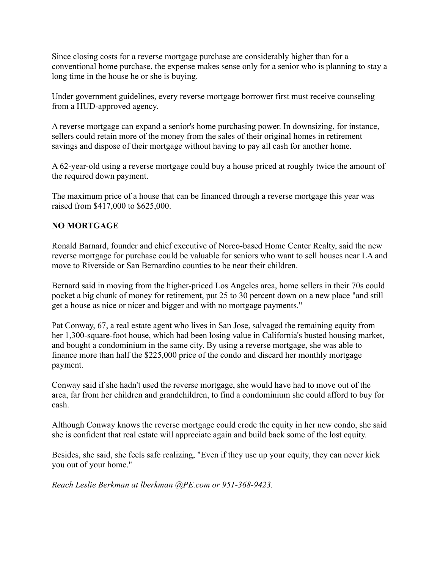Since closing costs for a reverse mortgage purchase are considerably higher than for a conventional home purchase, the expense makes sense only for a senior who is planning to stay a long time in the house he or she is buying.

Under government guidelines, every reverse mortgage borrower first must receive counseling from a HUD-approved agency.

A reverse mortgage can expand a senior's home purchasing power. In downsizing, for instance, sellers could retain more of the money from the sales of their original homes in retirement savings and dispose of their mortgage without having to pay all cash for another home.

A 62-year-old using a reverse mortgage could buy a house priced at roughly twice the amount of the required down payment.

The maximum price of a house that can be financed through a reverse mortgage this year was raised from \$417,000 to \$625,000.

## NO MORTGAGE

Ronald Barnard, founder and chief executive of Norco-based Home Center Realty, said the new reverse mortgage for purchase could be valuable for seniors who want to sell houses near LA and move to Riverside or San Bernardino counties to be near their children.

Bernard said in moving from the higher-priced Los Angeles area, home sellers in their 70s could pocket a big chunk of money for retirement, put 25 to 30 percent down on a new place "and still get a house as nice or nicer and bigger and with no mortgage payments."

Pat Conway, 67, a real estate agent who lives in San Jose, salvaged the remaining equity from her 1,300-square-foot house, which had been losing value in California's busted housing market, and bought a condominium in the same city. By using a reverse mortgage, she was able to finance more than half the \$225,000 price of the condo and discard her monthly mortgage payment.

Conway said if she hadn't used the reverse mortgage, she would have had to move out of the area, far from her children and grandchildren, to find a condominium she could afford to buy for cash.

Although Conway knows the reverse mortgage could erode the equity in her new condo, she said she is confident that real estate will appreciate again and build back some of the lost equity.

Besides, she said, she feels safe realizing, "Even if they use up your equity, they can never kick you out of your home."

*Reach Leslie Berkman at lberkman @PE.com or 951-368-9423.*